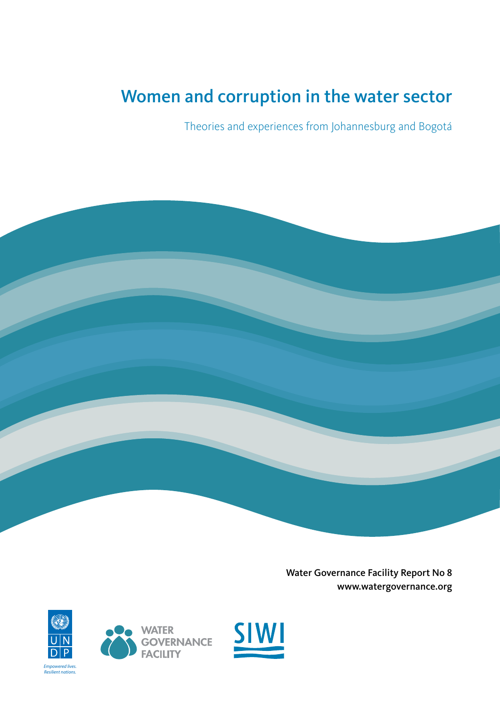### Women and corruption in the water sector

Theories and experiences from Johannesburg and Bogotá



Water Governance Facility Report No 8 [www.watergovernance.org](http://www.watergovernance.org)





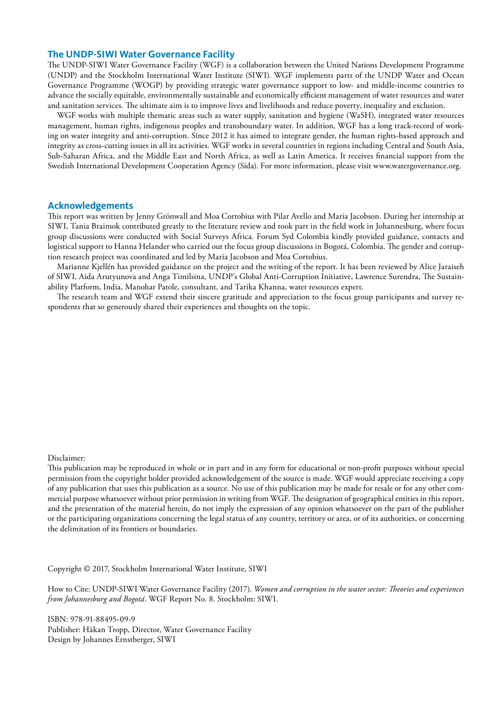#### **The UNDP-SIWI Water Governance Facility**

The UNDP-SIWI Water Governance Facility (WGF) is a collaboration between the United Nations Development Programme (UNDP) and the Stockholm International Water Institute (SIWI). WGF implements parts of the UNDP Water and Ocean Governance Programme (WOGP) by providing strategic water governance support to low- and middle-income countries to advance the socially equitable, environmentally sustainable and economically efficient management of water resources and water and sanitation services. The ultimate aim is to improve lives and livelihoods and reduce poverty, inequality and exclusion.

WGF works with multiple thematic areas such as water supply, sanitation and hygiene (WaSH), integrated water resources management, human rights, indigenous peoples and transboundary water. In addition, WGF has a long track-record of working on water integrity and anti-corruption. Since 2012 it has aimed to integrate gender, the human rights-based approach and integrity as cross-cutting issues in all its activities. WGF works in several countries in regions including Central and South Asia, Sub-Saharan Africa, and the Middle East and North Africa, as well as Latin America. It receives financial support from the Swedish International Development Cooperation Agency (Sida). For more information, please visit www.watergovernance.org.

#### **Acknowledgements**

This report was written by Jenny Grönwall and Moa Cortobius with Pilar Avello and Maria Jacobson. During her internship at SIWI, Tania Braimok contributed greatly to the literature review and took part in the field work in Johannesburg, where focus group discussions were conducted with Social Surveys Africa. Forum Syd Colombia kindly provided guidance, contacts and logistical support to Hanna Helander who carried out the focus group discussions in Bogotá, Colombia. The gender and corruption research project was coordinated and led by Maria Jacobson and Moa Cortobius.

Marianne Kjellén has provided guidance on the project and the writing of the report. It has been reviewed by Alice Jaraiseh of SIWI, Aida Arutyunova and Anga Timilsina, UNDP's Global Anti-Corruption Initiative, Lawrence Surendra, The Sustainability Platform, India, Manohar Patole, consultant, and Tarika Khanna, water resources expert.

The research team and WGF extend their sincere gratitude and appreciation to the focus group participants and survey respondents that so generously shared their experiences and thoughts on the topic.

#### Disclaimer:

This publication may be reproduced in whole or in part and in any form for educational or non-profit purposes without special permission from the copyright holder provided acknowledgement of the source is made. WGF would appreciate receiving a copy of any publication that uses this publication as a source. No use of this publication may be made for resale or for any other commercial purpose whatsoever without prior permission in writing from WGF. The designation of geographical entities in this report, and the presentation of the material herein, do not imply the expression of any opinion whatsoever on the part of the publisher or the participating organizations concerning the legal status of any country, territory or area, or of its authorities, or concerning the delimitation of its frontiers or boundaries.

Copyright © 2017, Stockholm International Water Institute, SIWI

How to Cite: UNDP-SIWI Water Governance Facility (2017). *Women and corruption in the water sector: Theories and experiences from Johannesburg and Bogotá*. WGF Report No. 8. Stockholm: SIWI.

ISBN: 978-91-88495-09-9 Publisher: Håkan Tropp, Director, Water Governance Facility Design by Johannes Ernstberger, SIWI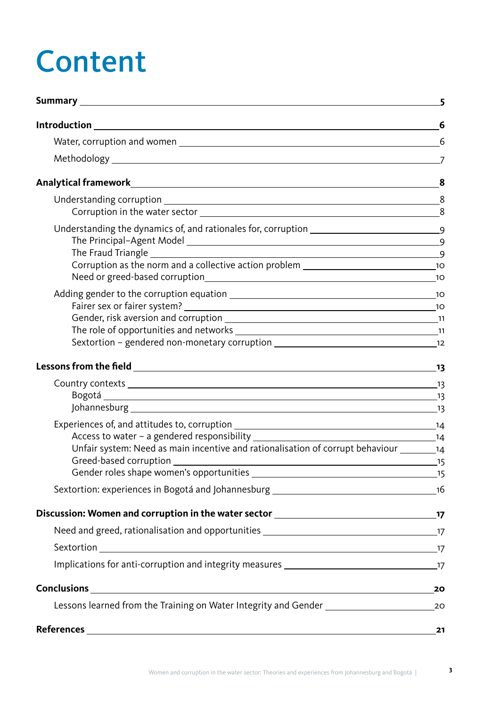# Content

|                                                                                                                                                                                                                                                                                                                                                                                                                                              | 6  |
|----------------------------------------------------------------------------------------------------------------------------------------------------------------------------------------------------------------------------------------------------------------------------------------------------------------------------------------------------------------------------------------------------------------------------------------------|----|
|                                                                                                                                                                                                                                                                                                                                                                                                                                              |    |
|                                                                                                                                                                                                                                                                                                                                                                                                                                              |    |
|                                                                                                                                                                                                                                                                                                                                                                                                                                              |    |
|                                                                                                                                                                                                                                                                                                                                                                                                                                              | 8  |
| Understanding the dynamics of, and rationales for, corruption ___________________                                                                                                                                                                                                                                                                                                                                                            |    |
|                                                                                                                                                                                                                                                                                                                                                                                                                                              |    |
|                                                                                                                                                                                                                                                                                                                                                                                                                                              |    |
|                                                                                                                                                                                                                                                                                                                                                                                                                                              |    |
| Unfair system: Need as main incentive and rationalisation of corrupt behaviour _________14                                                                                                                                                                                                                                                                                                                                                   |    |
|                                                                                                                                                                                                                                                                                                                                                                                                                                              |    |
|                                                                                                                                                                                                                                                                                                                                                                                                                                              |    |
|                                                                                                                                                                                                                                                                                                                                                                                                                                              |    |
| Sextortion 17                                                                                                                                                                                                                                                                                                                                                                                                                                |    |
|                                                                                                                                                                                                                                                                                                                                                                                                                                              |    |
| $Conclusions \begin{tabular}{c} \hline \rule[1mm]{4mm}{8mm} Conclusions \end{tabular} \begin{tabular}{c} \hline \rule[1mm]{4mm}{8mm} 20 \\ \hline \rule[1mm]{4mm}{8mm} 20 \\ \hline \rule[1mm]{4mm}{8mm} 20 \\ \hline \rule[1mm]{4mm}{8mm} 20 \\ \hline \rule[1mm]{4mm}{8mm} 20 \\ \hline \rule[1mm]{4mm}{8mm} 20 \\ \hline \rule[1mm]{4mm}{8mm} 20 \\ \hline \rule[1mm]{4mm}{8mm} 20 \\ \hline \rule[1mm]{4mm}{8mm} 20 \\ \hline \rule[1mm$ |    |
|                                                                                                                                                                                                                                                                                                                                                                                                                                              |    |
| <b>References</b>                                                                                                                                                                                                                                                                                                                                                                                                                            | 21 |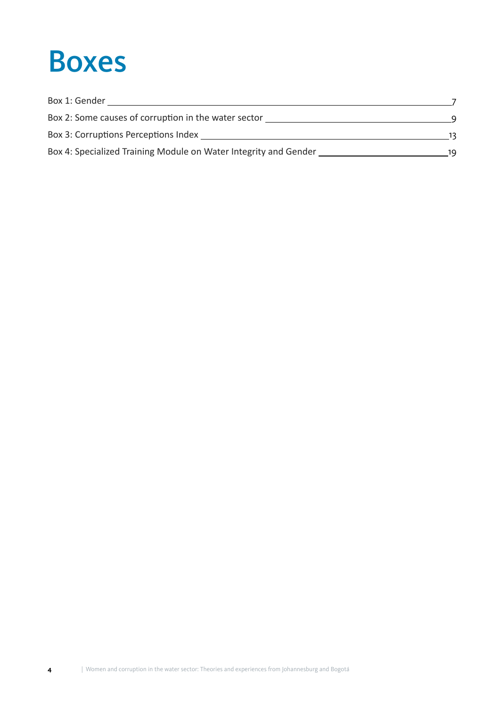### Boxes

| Box 1: Gender<br>Box 2: Some causes of corruption in the water sector |    |
|-----------------------------------------------------------------------|----|
|                                                                       |    |
| Box 4: Specialized Training Module on Water Integrity and Gender      | 19 |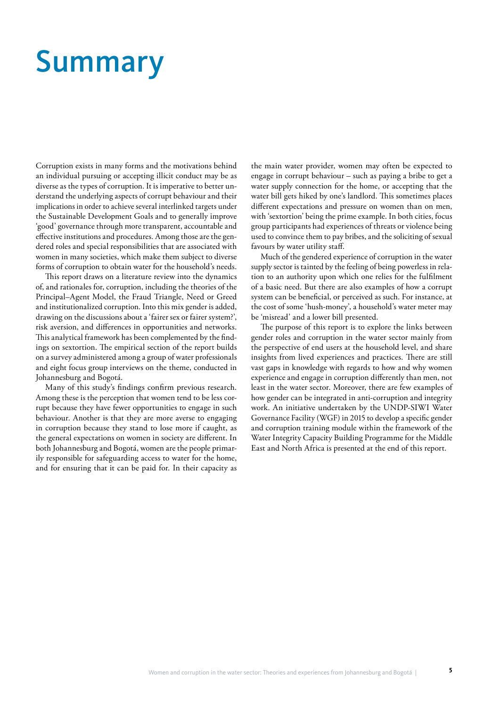## Summary

Corruption exists in many forms and the motivations behind an individual pursuing or accepting illicit conduct may be as diverse as the types of corruption. It is imperative to better understand the underlying aspects of corrupt behaviour and their implications in order to achieve several interlinked targets under the Sustainable Development Goals and to generally improve 'good' governance through more transparent, accountable and effective institutions and procedures. Among those are the gendered roles and special responsibilities that are associated with women in many societies, which make them subject to diverse forms of corruption to obtain water for the household's needs.

This report draws on a literature review into the dynamics of, and rationales for, corruption, including the theories of the Principal–Agent Model, the Fraud Triangle, Need or Greed and institutionalized corruption. Into this mix gender is added, drawing on the discussions about a 'fairer sex or fairer system?', risk aversion, and differences in opportunities and networks. This analytical framework has been complemented by the findings on sextortion. The empirical section of the report builds on a survey administered among a group of water professionals and eight focus group interviews on the theme, conducted in Johannesburg and Bogotá.

Many of this study's findings confirm previous research. Among these is the perception that women tend to be less corrupt because they have fewer opportunities to engage in such behaviour. Another is that they are more averse to engaging in corruption because they stand to lose more if caught, as the general expectations on women in society are different. In both Johannesburg and Bogotá, women are the people primarily responsible for safeguarding access to water for the home, and for ensuring that it can be paid for. In their capacity as

the main water provider, women may often be expected to engage in corrupt behaviour – such as paying a bribe to get a water supply connection for the home, or accepting that the water bill gets hiked by one's landlord. This sometimes places different expectations and pressure on women than on men, with 'sextortion' being the prime example. In both cities, focus group participants had experiences of threats or violence being used to convince them to pay bribes, and the soliciting of sexual favours by water utility staff.

Much of the gendered experience of corruption in the water supply sector is tainted by the feeling of being powerless in relation to an authority upon which one relies for the fulfilment of a basic need. But there are also examples of how a corrupt system can be beneficial, or perceived as such. For instance, at the cost of some 'hush-money', a household's water meter may be 'misread' and a lower bill presented.

The purpose of this report is to explore the links between gender roles and corruption in the water sector mainly from the perspective of end users at the household level, and share insights from lived experiences and practices. There are still vast gaps in knowledge with regards to how and why women experience and engage in corruption differently than men, not least in the water sector. Moreover, there are few examples of how gender can be integrated in anti-corruption and integrity work. An initiative undertaken by the UNDP-SIWI Water Governance Facility (WGF) in 2015 to develop a specific gender and corruption training module within the framework of the Water Integrity Capacity Building Programme for the Middle East and North Africa is presented at the end of this report.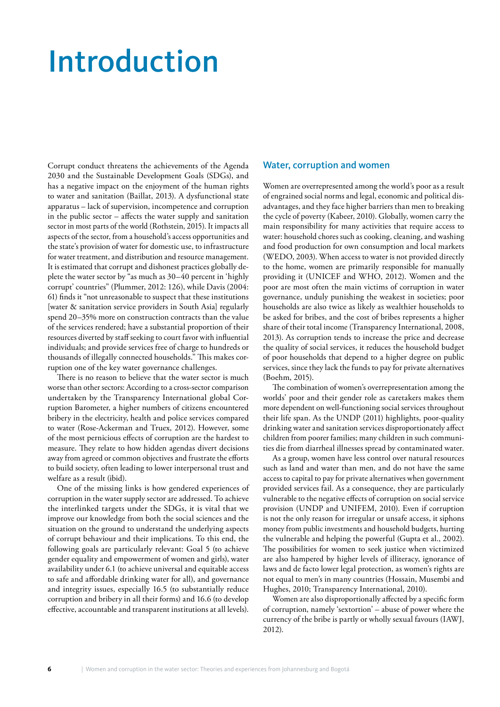### Introduction

Corrupt conduct threatens the achievements of the Agenda 2030 and the Sustainable Development Goals (SDGs), and has a negative impact on the enjoyment of the human rights to water and sanitation (Baillat, 2013). A dysfunctional state apparatus – lack of supervision, incompetence and corruption in the public sector – affects the water supply and sanitation sector in most parts of the world (Rothstein, 2015). It impacts all aspects of the sector, from a household's access opportunities and the state's provision of water for domestic use, to infrastructure for water treatment, and distribution and resource management. It is estimated that corrupt and dishonest practices globally deplete the water sector by "as much as 30–40 percent in 'highly corrupt' countries" (Plummer, 2012: 126), while Davis (2004: 61) finds it "not unreasonable to suspect that these institutions [water & sanitation service providers in South Asia] regularly spend 20–35% more on construction contracts than the value of the services rendered; have a substantial proportion of their resources diverted by staff seeking to court favor with influential individuals; and provide services free of charge to hundreds or thousands of illegally connected households." This makes corruption one of the key water governance challenges.

There is no reason to believe that the water sector is much worse than other sectors: According to a cross-sector comparison undertaken by the Transparency International global Corruption Barometer, a higher numbers of citizens encountered bribery in the electricity, health and police services compared to water (Rose-Ackerman and Truex, 2012). However, some of the most pernicious effects of corruption are the hardest to measure. They relate to how hidden agendas divert decisions away from agreed or common objectives and frustrate the efforts to build society, often leading to lower interpersonal trust and welfare as a result (ibid).

One of the missing links is how gendered experiences of corruption in the water supply sector are addressed. To achieve the interlinked targets under the SDGs, it is vital that we improve our knowledge from both the social sciences and the situation on the ground to understand the underlying aspects of corrupt behaviour and their implications. To this end, the following goals are particularly relevant: Goal 5 (to achieve gender equality and empowerment of women and girls), water availability under 6.1 (to achieve universal and equitable access to safe and affordable drinking water for all), and governance and integrity issues, especially 16.5 (to substantially reduce corruption and bribery in all their forms) and 16.6 (to develop effective, accountable and transparent institutions at all levels).

#### Water, corruption and women

Women are overrepresented among the world's poor as a result of engrained social norms and legal, economic and political disadvantages, and they face higher barriers than men to breaking the cycle of poverty (Kabeer, 2010). Globally, women carry the main responsibility for many activities that require access to water: household chores such as cooking, cleaning, and washing and food production for own consumption and local markets (WEDO, 2003). When access to water is not provided directly to the home, women are primarily responsible for manually providing it (UNICEF and WHO, 2012). Women and the poor are most often the main victims of corruption in water governance, unduly punishing the weakest in societies; poor households are also twice as likely as wealthier households to be asked for bribes, and the cost of bribes represents a higher share of their total income (Transparency International, 2008, 2013). As corruption tends to increase the price and decrease the quality of social services, it reduces the household budget of poor households that depend to a higher degree on public services, since they lack the funds to pay for private alternatives (Boehm, 2015).

The combination of women's overrepresentation among the worlds' poor and their gender role as caretakers makes them more dependent on well-functioning social services throughout their life span. As the UNDP (2011) highlights, poor-quality drinking water and sanitation services disproportionately affect children from poorer families; many children in such communities die from diarrheal illnesses spread by contaminated water.

As a group, women have less control over natural resources such as land and water than men, and do not have the same access to capital to pay for private alternatives when government provided services fail. As a consequence, they are particularly vulnerable to the negative effects of corruption on social service provision (UNDP and UNIFEM, 2010). Even if corruption is not the only reason for irregular or unsafe access, it siphons money from public investments and household budgets, hurting the vulnerable and helping the powerful (Gupta et al., 2002). The possibilities for women to seek justice when victimized are also hampered by higher levels of illiteracy, ignorance of laws and de facto lower legal protection, as women's rights are not equal to men's in many countries (Hossain, Musembi and Hughes, 2010; Transparency International, 2010).

Women are also disproportionally affected by a specific form of corruption, namely 'sextortion' – abuse of power where the currency of the bribe is partly or wholly sexual favours (IAWJ, 2012).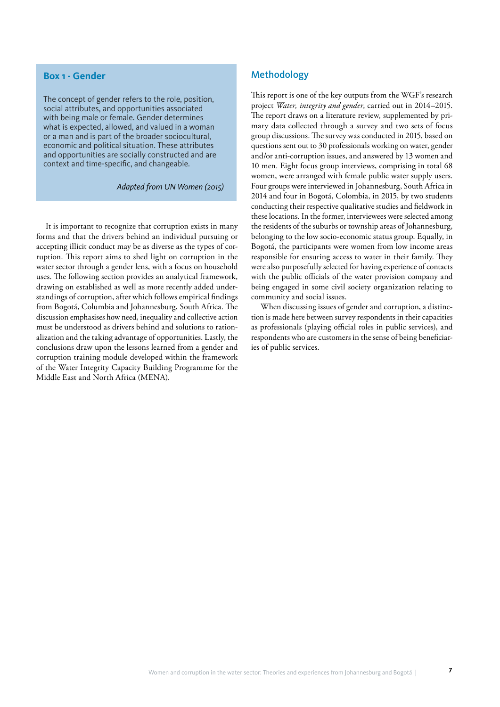### **Box 1 - Gender**

The concept of gender refers to the role, position, social attributes, and opportunities associated with being male or female. Gender determines what is expected, allowed, and valued in a woman or a man and is part of the broader sociocultural, economic and political situation. These attributes and opportunities are socially constructed and are context and time-specific, and changeable.

*Adapted from UN Women (2015)*

It is important to recognize that corruption exists in many forms and that the drivers behind an individual pursuing or accepting illicit conduct may be as diverse as the types of corruption. This report aims to shed light on corruption in the water sector through a gender lens, with a focus on household uses. The following section provides an analytical framework, drawing on established as well as more recently added understandings of corruption, after which follows empirical findings from Bogotá, Columbia and Johannesburg, South Africa. The discussion emphasises how need, inequality and collective action must be understood as drivers behind and solutions to rationalization and the taking advantage of opportunities. Lastly, the conclusions draw upon the lessons learned from a gender and corruption training module developed within the framework of the Water Integrity Capacity Building Programme for the Middle East and North Africa (MENA).

### Methodology

This report is one of the key outputs from the WGF's research project *Water, integrity and gender*, carried out in 2014–2015. The report draws on a literature review, supplemented by primary data collected through a survey and two sets of focus group discussions. The survey was conducted in 2015, based on questions sent out to 30 professionals working on water, gender and/or anti-corruption issues, and answered by 13 women and 10 men. Eight focus group interviews, comprising in total 68 women, were arranged with female public water supply users. Four groups were interviewed in Johannesburg, South Africa in 2014 and four in Bogotá, Colombia, in 2015, by two students conducting their respective qualitative studies and fieldwork in these locations. In the former, interviewees were selected among the residents of the suburbs or township areas of Johannesburg, belonging to the low socio-economic status group. Equally, in Bogotá, the participants were women from low income areas responsible for ensuring access to water in their family. They were also purposefully selected for having experience of contacts with the public officials of the water provision company and being engaged in some civil society organization relating to community and social issues.

When discussing issues of gender and corruption, a distinction is made here between survey respondents in their capacities as professionals (playing official roles in public services), and respondents who are customers in the sense of being beneficiaries of public services.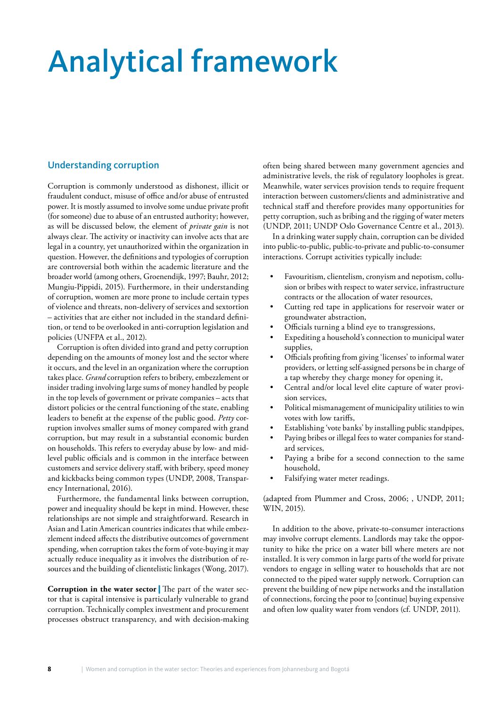# Analytical framework

### Understanding corruption

Corruption is commonly understood as dishonest, illicit or fraudulent conduct, misuse of office and/or abuse of entrusted power. It is mostly assumed to involve some undue private profit (for someone) due to abuse of an entrusted authority; however, as will be discussed below, the element of *private gain* is not always clear. The activity or inactivity can involve acts that are legal in a country, yet unauthorized within the organization in question. However, the definitions and typologies of corruption are controversial both within the academic literature and the broader world (among others, Groenendijk, 1997; Bauhr, 2012; Mungiu-Pippidi, 2015). Furthermore, in their understanding of corruption, women are more prone to include certain types of violence and threats, non-delivery of services and sextortion – activities that are either not included in the standard definition, or tend to be overlooked in anti-corruption legislation and policies (UNFPA et al., 2012).

Corruption is often divided into grand and petty corruption depending on the amounts of money lost and the sector where it occurs, and the level in an organization where the corruption takes place. *Grand* corruption refers to bribery, embezzlement or insider trading involving large sums of money handled by people in the top levels of government or private companies – acts that distort policies or the central functioning of the state, enabling leaders to benefit at the expense of the public good. *Petty* corruption involves smaller sums of money compared with grand corruption, but may result in a substantial economic burden on households. This refers to everyday abuse by low- and midlevel public officials and is common in the interface between customers and service delivery staff, with bribery, speed money and kickbacks being common types (UNDP, 2008, Transparency International, 2016).

Furthermore, the fundamental links between corruption, power and inequality should be kept in mind. However, these relationships are not simple and straightforward. Research in Asian and Latin American countries indicates that while embezzlement indeed affects the distributive outcomes of government spending, when corruption takes the form of vote-buying it may actually reduce inequality as it involves the distribution of resources and the building of clientelistic linkages (Wong, 2017).

**Corruption in the water sector** | The part of the water sector that is capital intensive is particularly vulnerable to grand corruption. Technically complex investment and procurement processes obstruct transparency, and with decision-making often being shared between many government agencies and administrative levels, the risk of regulatory loopholes is great. Meanwhile, water services provision tends to require frequent interaction between customers/clients and administrative and technical staff and therefore provides many opportunities for petty corruption, such as bribing and the rigging of water meters (UNDP, 2011; UNDP Oslo Governance Centre et al., 2013).

In a drinking water supply chain, corruption can be divided into public-to-public, public-to-private and public-to-consumer interactions. Corrupt activities typically include:

- Favouritism, clientelism, cronyism and nepotism, collusion or bribes with respect to water service, infrastructure contracts or the allocation of water resources,
- Cutting red tape in applications for reservoir water or groundwater abstraction,
- Officials turning a blind eye to transgressions,
- Expediting a household's connection to municipal water supplies,
- Officials profiting from giving 'licenses' to informal water providers, or letting self-assigned persons be in charge of a tap whereby they charge money for opening it,
- Central and/or local level elite capture of water provision services,
- Political mismanagement of municipality utilities to win votes with low tariffs,
- Establishing 'vote banks' by installing public standpipes,
- Paying bribes or illegal fees to water companies for standard services,
- Paying a bribe for a second connection to the same household,
- Falsifying water meter readings.

(adapted from Plummer and Cross, 2006; , UNDP, 2011; WIN, 2015).

In addition to the above, private-to-consumer interactions may involve corrupt elements. Landlords may take the opportunity to hike the price on a water bill where meters are not installed. It is very common in large parts of the world for private vendors to engage in selling water to households that are not connected to the piped water supply network. Corruption can prevent the building of new pipe networks and the installation of connections, forcing the poor to [continue] buying expensive and often low quality water from vendors (cf. UNDP, 2011).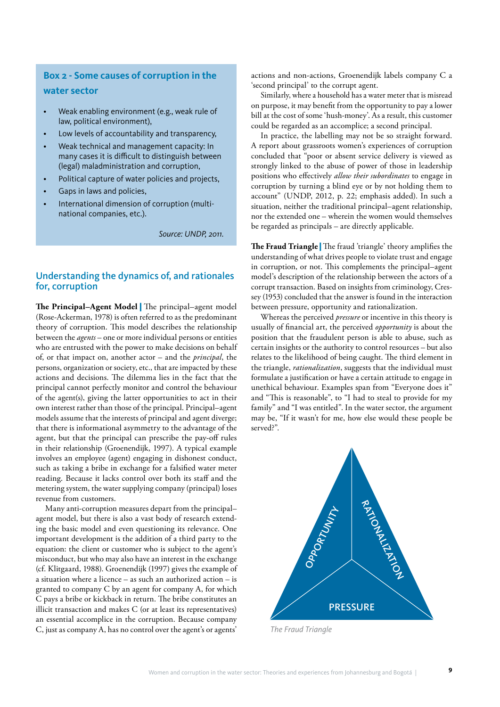### **Box 2 - Some causes of corruption in the water sector**

- Weak enabling environment (e.g., weak rule of law, political environment),
- Low levels of accountability and transparency,
- Weak technical and management capacity: In many cases it is difficult to distinguish between (legal) maladministration and corruption,
- Political capture of water policies and projects,
- Gaps in laws and policies,
- International dimension of corruption (multinational companies, etc.).

*Source: UNDP, 2011.*

### Understanding the dynamics of, and rationales for, corruption

**The Principal–Agent Model** | The principal–agent model (Rose-Ackerman, 1978) is often referred to as the predominant theory of corruption. This model describes the relationship between the *agents* – one or more individual persons or entities who are entrusted with the power to make decisions on behalf of, or that impact on, another actor – and the *principal*, the persons, organization or society, etc., that are impacted by these actions and decisions. The dilemma lies in the fact that the principal cannot perfectly monitor and control the behaviour of the agent(s), giving the latter opportunities to act in their own interest rather than those of the principal. Principal–agent models assume that the interests of principal and agent diverge; that there is informational asymmetry to the advantage of the agent, but that the principal can prescribe the pay-off rules in their relationship (Groenendijk, 1997). A typical example involves an employee (agent) engaging in dishonest conduct, such as taking a bribe in exchange for a falsified water meter reading. Because it lacks control over both its staff and the metering system, the water supplying company (principal) loses revenue from customers.

Many anti-corruption measures depart from the principal– agent model, but there is also a vast body of research extending the basic model and even questioning its relevance. One important development is the addition of a third party to the equation: the client or customer who is subject to the agent's misconduct, but who may also have an interest in the exchange (cf. Klitgaard, 1988). Groenendijk (1997) gives the example of a situation where a licence – as such an authorized action – is granted to company C by an agent for company A, for which C pays a bribe or kickback in return. The bribe constitutes an illicit transaction and makes C (or at least its representatives) an essential accomplice in the corruption. Because company C, just as company A, has no control over the agent's or agents'

actions and non-actions, Groenendijk labels company C a 'second principal' to the corrupt agent.

Similarly, where a household has a water meter that is misread on purpose, it may benefit from the opportunity to pay a lower bill at the cost of some 'hush-money'. As a result, this customer could be regarded as an accomplice; a second principal.

In practice, the labelling may not be so straight forward. A report about grassroots women's experiences of corruption concluded that "poor or absent service delivery is viewed as strongly linked to the abuse of power of those in leadership positions who effectively *allow their subordinates* to engage in corruption by turning a blind eye or by not holding them to account" (UNDP, 2012, p. 22; emphasis added). In such a situation, neither the traditional principal–agent relationship, nor the extended one – wherein the women would themselves be regarded as principals – are directly applicable.

**The Fraud Triangle** | The fraud 'triangle' theory amplifies the understanding of what drives people to violate trust and engage in corruption, or not. This complements the principal–agent model's description of the relationship between the actors of a corrupt transaction. Based on insights from criminology, Cressey (1953) concluded that the answer is found in the interaction between pressure, opportunity and rationalization.

Whereas the perceived *pressure* or incentive in this theory is usually of financial art, the perceived *opportunity* is about the position that the fraudulent person is able to abuse, such as certain insights or the authority to control resources – but also relates to the likelihood of being caught. The third element in the triangle, *rationalization*, suggests that the individual must formulate a justification or have a certain attitude to engage in unethical behaviour. Examples span from "Everyone does it" and "This is reasonable", to "I had to steal to provide for my family" and "I was entitled". In the water sector, the argument may be, "If it wasn't for me, how else would these people be served?".



*The Fraud Triangle*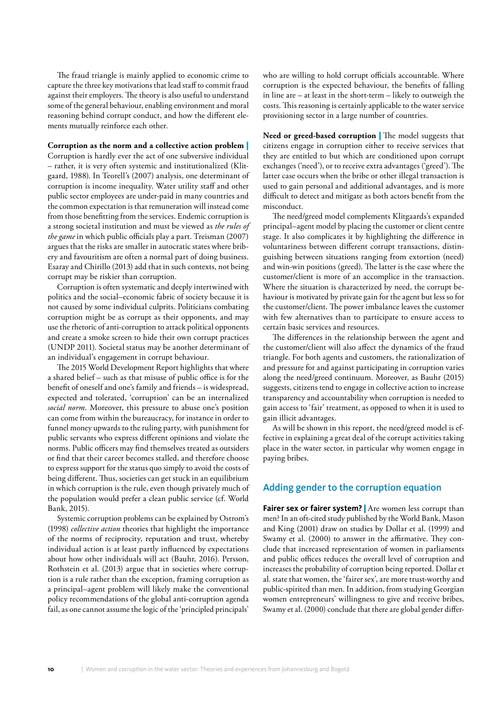The fraud triangle is mainly applied to economic crime to capture the three key motivations that lead staff to commit fraud against their employers. The theory is also useful to understand some of the general behaviour, enabling environment and moral reasoning behind corrupt conduct, and how the different elements mutually reinforce each other.

#### **Corruption as the norm and a collective action problem** |

Corruption is hardly ever the act of one subversive individual – rather, it is very often systemic and institutionalized (Klitgaard, 1988). In Teorell's (2007) analysis, one determinant of corruption is income inequality. Water utility staff and other public sector employees are under-paid in many countries and the common expectation is that remuneration will instead come from those benefitting from the services. Endemic corruption is a strong societal institution and must be viewed as *the rules of the game* in which public officials play a part. Treisman (2007) argues that the risks are smaller in autocratic states where bribery and favouritism are often a normal part of doing business. Esaray and Chirillo (2013) add that in such contexts, not being corrupt may be riskier than corruption.

Corruption is often systematic and deeply intertwined with politics and the social–economic fabric of society because it is not caused by some individual culprits. Politicians combating corruption might be as corrupt as their opponents, and may use the rhetoric of anti-corruption to attack political opponents and create a smoke screen to hide their own corrupt practices (UNDP 2011). Societal status may be another determinant of an individual's engagement in corrupt behaviour.

The 2015 World Development Report highlights that where a shared belief – such as that misuse of public office is for the benefit of oneself and one's family and friends – is widespread, expected and tolerated, 'corruption' can be an internalized *social norm*. Moreover, this pressure to abuse one's position can come from within the bureaucracy, for instance in order to funnel money upwards to the ruling party, with punishment for public servants who express different opinions and violate the norms. Public officers may find themselves treated as outsiders or find that their career becomes stalled, and therefore choose to express support for the status quo simply to avoid the costs of being different. Thus, societies can get stuck in an equilibrium in which corruption is the rule, even though privately much of the population would prefer a clean public service (cf. World Bank, 2015).

Systemic corruption problems can be explained by Ostrom's (1998) *collective action* theories that highlight the importance of the norms of reciprocity, reputation and trust, whereby individual action is at least partly influenced by expectations about how other individuals will act (Bauhr, 2016). Persson, Rothstein et al. (2013) argue that in societies where corruption is a rule rather than the exception, framing corruption as a principal–agent problem will likely make the conventional policy recommendations of the global anti-corruption agenda fail, as one cannot assume the logic of the 'principled principals'

who are willing to hold corrupt officials accountable. Where corruption is the expected behaviour, the benefits of falling in line are – at least in the short-term – likely to outweigh the costs. This reasoning is certainly applicable to the water service provisioning sector in a large number of countries.

**Need or greed-based corruption** | The model suggests that citizens engage in corruption either to receive services that they are entitled to but which are conditioned upon corrupt exchanges ('need'), or to receive extra advantages ('greed'). The latter case occurs when the bribe or other illegal transaction is used to gain personal and additional advantages, and is more difficult to detect and mitigate as both actors benefit from the misconduct.

The need/greed model complements Klitgaards's expanded principal–agent model by placing the customer or client centre stage. It also complicates it by highlighting the difference in voluntariness between different corrupt transactions, distinguishing between situations ranging from extortion (need) and win-win positions (greed). The latter is the case where the customer/client is more of an accomplice in the transaction. Where the situation is characterized by need, the corrupt behaviour is motivated by private gain for the agent but less so for the customer/client. The power imbalance leaves the customer with few alternatives than to participate to ensure access to certain basic services and resources.

The differences in the relationship between the agent and the customer/client will also affect the dynamics of the fraud triangle. For both agents and customers, the rationalization of and pressure for and against participating in corruption varies along the need/greed continuum. Moreover, as Bauhr (2015) suggests, citizens tend to engage in collective action to increase transparency and accountability when corruption is needed to gain access to 'fair' treatment, as opposed to when it is used to gain illicit advantages.

As will be shown in this report, the need/greed model is effective in explaining a great deal of the corrupt activities taking place in the water sector, in particular why women engage in paying bribes.

### Adding gender to the corruption equation

**Fairer sex or fairer system?** Are women less corrupt than men? In an oft-cited study published by the World Bank, Mason and King (2001) draw on studies by Dollar et al. (1999) and Swamy et al. (2000) to answer in the affirmative. They conclude that increased representation of women in parliaments and public offices reduces the overall level of corruption and increases the probability of corruption being reported. Dollar et al. state that women, the 'fairer sex', are more trust-worthy and public-spirited than men. In addition, from studying Georgian women entrepreneurs' willingness to give and receive bribes, Swamy et al. (2000) conclude that there are global gender differ-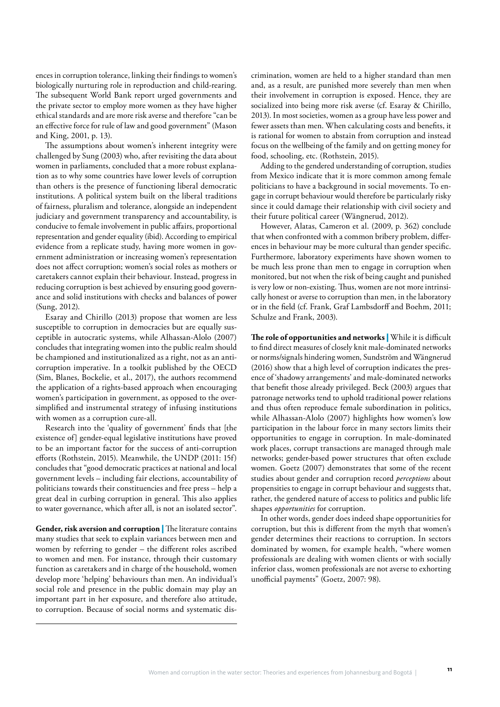ences in corruption tolerance, linking their findings to women's biologically nurturing role in reproduction and child-rearing. The subsequent World Bank report urged governments and the private sector to employ more women as they have higher ethical standards and are more risk averse and therefore "can be an effective force for rule of law and good government" (Mason and King, 2001, p. 13).

The assumptions about women's inherent integrity were challenged by Sung (2003) who, after revisiting the data about women in parliaments, concluded that a more robust explanation as to why some countries have lower levels of corruption than others is the presence of functioning liberal democratic institutions. A political system built on the liberal traditions of fairness, pluralism and tolerance, alongside an independent judiciary and government transparency and accountability, is conducive to female involvement in public affairs, proportional representation and gender equality (ibid). According to empirical evidence from a replicate study, having more women in government administration or increasing women's representation does not affect corruption; women's social roles as mothers or caretakers cannot explain their behaviour. Instead, progress in reducing corruption is best achieved by ensuring good governance and solid institutions with checks and balances of power (Sung, 2012).

Esaray and Chirillo (2013) propose that women are less susceptible to corruption in democracies but are equally susceptible in autocratic systems, while Alhassan-Alolo (2007) concludes that integrating women into the public realm should be championed and institutionalized as a right, not as an anticorruption imperative. In a toolkit published by the OECD (Sim, Blanes, Bockelie, et al., 2017), the authors recommend the application of a rights-based approach when encouraging women's participation in government, as opposed to the oversimplified and instrumental strategy of infusing institutions with women as a corruption cure-all.

Research into the 'quality of government' finds that [the existence of] gender-equal legislative institutions have proved to be an important factor for the success of anti-corruption efforts (Rothstein, 2015). Meanwhile, the UNDP (2011: 15f) concludes that "good democratic practices at national and local government levels – including fair elections, accountability of politicians towards their constituencies and free press – help a great deal in curbing corruption in general. This also applies to water governance, which after all, is not an isolated sector".

**Gender, risk aversion and corruption** | The literature contains many studies that seek to explain variances between men and women by referring to gender – the different roles ascribed to women and men. For instance, through their customary function as caretakers and in charge of the household, women develop more 'helping' behaviours than men. An individual's social role and presence in the public domain may play an important part in her exposure, and therefore also attitude, to corruption. Because of social norms and systematic discrimination, women are held to a higher standard than men and, as a result, are punished more severely than men when their involvement in corruption is exposed. Hence, they are socialized into being more risk averse (cf. Esaray & Chirillo, 2013). In most societies, women as a group have less power and fewer assets than men. When calculating costs and benefits, it is rational for women to abstain from corruption and instead focus on the wellbeing of the family and on getting money for food, schooling, etc. (Rothstein, 2015).

Adding to the gendered understanding of corruption, studies from Mexico indicate that it is more common among female politicians to have a background in social movements. To engage in corrupt behaviour would therefore be particularly risky since it could damage their relationship with civil society and their future political career (Wängnerud, 2012).

However, Alatas, Cameron et al. (2009, p. 362) conclude that when confronted with a common bribery problem, differences in behaviour may be more cultural than gender specific. Furthermore, laboratory experiments have shown women to be much less prone than men to engage in corruption when monitored, but not when the risk of being caught and punished is very low or non-existing. Thus, women are not more intrinsically honest or averse to corruption than men, in the laboratory or in the field (cf. Frank, Graf Lambsdorff and Boehm, 2011; Schulze and Frank, 2003).

**The role of opportunities and networks** | While it is difficult to find direct measures of closely knit male-dominated networks or norms/signals hindering women, Sundström and Wängnerud (2016) show that a high level of corruption indicates the presence of 'shadowy arrangements' and male-dominated networks that benefit those already privileged. Beck (2003) argues that patronage networks tend to uphold traditional power relations and thus often reproduce female subordination in politics, while Alhassan-Alolo (2007) highlights how women's low participation in the labour force in many sectors limits their opportunities to engage in corruption. In male-dominated work places, corrupt transactions are managed through male networks; gender-based power structures that often exclude women. Goetz (2007) demonstrates that some of the recent studies about gender and corruption record *perceptions* about propensities to engage in corrupt behaviour and suggests that, rather, the gendered nature of access to politics and public life shapes *opportunities* for corruption.

In other words, gender does indeed shape opportunities for corruption, but this is different from the myth that women's gender determines their reactions to corruption. In sectors dominated by women, for example health, "where women professionals are dealing with women clients or with socially inferior class, women professionals are not averse to exhorting unofficial payments" (Goetz, 2007: 98).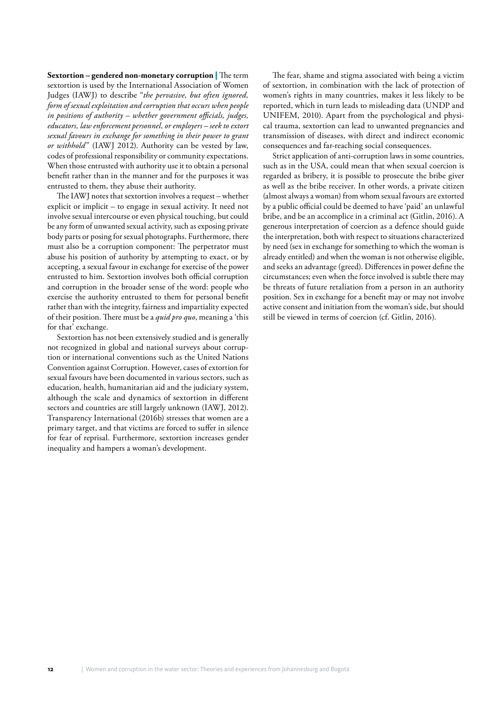**Sextortion – gendered non-monetary corruption** | The term sextortion is used by the International Association of Women Judges (IAWJ) to describe "*the pervasive, but often ignored, form of sexual exploitation and corruption that occurs when people in positions of authority – whether government officials, judges, educators, law enforcement personnel, or employers – seek to extort sexual favours in exchange for something in their power to grant or withhold*" (IAWJ 2012). Authority can be vested by law, codes of professional responsibility or community expectations. When those entrusted with authority use it to obtain a personal benefit rather than in the manner and for the purposes it was entrusted to them, they abuse their authority.

The IAWJ notes that sextortion involves a request – whether explicit or implicit – to engage in sexual activity. It need not involve sexual intercourse or even physical touching, but could be any form of unwanted sexual activity, such as exposing private body parts or posing for sexual photographs. Furthermore, there must also be a corruption component: The perpetrator must abuse his position of authority by attempting to exact, or by accepting, a sexual favour in exchange for exercise of the power entrusted to him. Sextortion involves both official corruption and corruption in the broader sense of the word: people who exercise the authority entrusted to them for personal benefit rather than with the integrity, fairness and impartiality expected of their position. There must be a *quid pro quo*, meaning a 'this for that' exchange.

Sextortion has not been extensively studied and is generally not recognized in global and national surveys about corruption or international conventions such as the United Nations Convention against Corruption. However, cases of extortion for sexual favours have been documented in various sectors, such as education, health, humanitarian aid and the judiciary system, although the scale and dynamics of sextortion in different sectors and countries are still largely unknown (IAWJ, 2012). Transparency International (2016b) stresses that women are a primary target, and that victims are forced to suffer in silence for fear of reprisal. Furthermore, sextortion increases gender inequality and hampers a woman's development.

The fear, shame and stigma associated with being a victim of sextortion, in combination with the lack of protection of women's rights in many countries, makes it less likely to be reported, which in turn leads to misleading data (UNDP and UNIFEM, 2010). Apart from the psychological and physical trauma, sextortion can lead to unwanted pregnancies and transmission of diseases, with direct and indirect economic consequences and far-reaching social consequences.

Strict application of anti-corruption laws in some countries, such as in the USA, could mean that when sexual coercion is regarded as bribery, it is possible to prosecute the bribe giver as well as the bribe receiver. In other words, a private citizen (almost always a woman) from whom sexual favours are extorted by a public official could be deemed to have 'paid' an unlawful bribe, and be an accomplice in a criminal act (Gitlin, 2016). A generous interpretation of coercion as a defence should guide the interpretation, both with respect to situations characterized by need (sex in exchange for something to which the woman is already entitled) and when the woman is not otherwise eligible, and seeks an advantage (greed). Differences in power define the circumstances; even when the force involved is subtle there may be threats of future retaliation from a person in an authority position. Sex in exchange for a benefit may or may not involve active consent and initiation from the woman's side, but should still be viewed in terms of coercion (cf. Gitlin, 2016).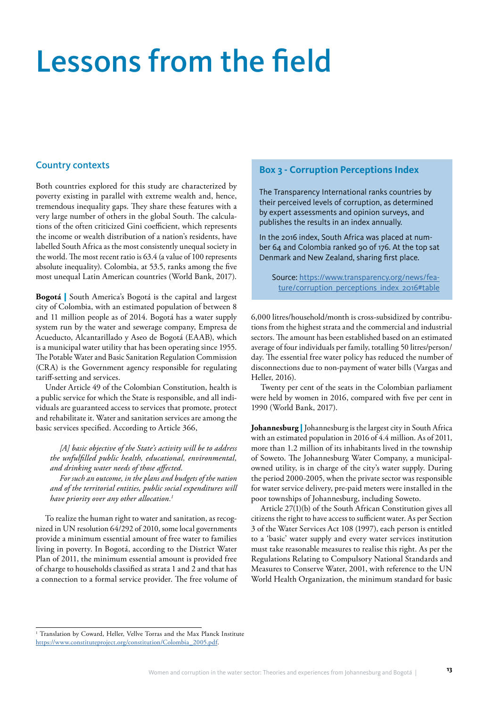## Lessons from the field

### Country contexts

Both countries explored for this study are characterized by poverty existing in parallel with extreme wealth and, hence, tremendous inequality gaps. They share these features with a very large number of others in the global South. The calculations of the often criticized Gini coefficient, which represents the income or wealth distribution of a nation's residents, have labelled South Africa as the most consistently unequal society in the world. The most recent ratio is 63.4 (a value of 100 represents absolute inequality). Colombia, at 53.5, ranks among the five most unequal Latin American countries (World Bank, 2017).

**Bogotá** | South America's Bogotá is the capital and largest city of Colombia, with an estimated population of between 8 and 11 million people as of 2014. Bogotá has a water supply system run by the water and sewerage company, Empresa de Acueducto, Alcantarillado y Aseo de Bogotá (EAAB), which is a municipal water utility that has been operating since 1955. The Potable Water and Basic Sanitation Regulation Commission (CRA) is the Government agency responsible for regulating tariff-setting and services.

Under Article 49 of the Colombian Constitution, health is a public service for which the State is responsible, and all individuals are guaranteed access to services that promote, protect and rehabilitate it. Water and sanitation services are among the basic services specified. According to Article 366,

*[A] basic objective of the State's activity will be to address the unfulfilled public health, educational, environmental, and drinking water needs of those affected.*

*For such an outcome, in the plans and budgets of the nation and of the territorial entities, public social expenditures will have priority over any other allocation.1*

To realize the human right to water and sanitation, as recognized in UN resolution 64/292 of 2010, some local governments provide a minimum essential amount of free water to families living in poverty. In Bogotá, according to the District Water Plan of 2011, the minimum essential amount is provided free of charge to households classified as strata 1 and 2 and that has a connection to a formal service provider. The free volume of

### **Box 3 - Corruption Perceptions Index**

The Transparency International ranks countries by their perceived levels of corruption, as determined by expert assessments and opinion surveys, and publishes the results in an index annually.

In the 2016 index, South Africa was placed at number 64 and Colombia ranked 90 of 176. At the top sat Denmark and New Zealand, sharing first place.

Source: [https://www.transparency.org/news/fea](https://www.transparency.org/news/feature/corruption_perceptions_index_2016#table)[ture/corruption\\_perceptions\\_index\\_2016#table](https://www.transparency.org/news/feature/corruption_perceptions_index_2016#table)

6,000 litres/household/month is cross-subsidized by contributions from the highest strata and the commercial and industrial sectors. The amount has been established based on an estimated average of four individuals per family, totalling 50 litres/person/ day. The essential free water policy has reduced the number of disconnections due to non-payment of water bills (Vargas and Heller, 2016).

Twenty per cent of the seats in the Colombian parliament were held by women in 2016, compared with five per cent in 1990 (World Bank, 2017).

**Johannesburg** | Johannesburg is the largest city in South Africa with an estimated population in 2016 of 4.4 million. As of 2011, more than 1.2 million of its inhabitants lived in the township of Soweto. The Johannesburg Water Company, a municipalowned utility, is in charge of the city's water supply. During the period 2000-2005, when the private sector was responsible for water service delivery, pre-paid meters were installed in the poor townships of Johannesburg, including Soweto.

Article 27(1)(b) of the South African Constitution gives all citizens the right to have access to sufficient water. As per Section 3 of the Water Services Act 108 (1997), each person is entitled to a 'basic' water supply and every water services institution must take reasonable measures to realise this right. As per the Regulations Relating to Compulsory National Standards and Measures to Conserve Water, 2001, with reference to the UN World Health Organization, the minimum standard for basic

<sup>&</sup>lt;sup>1</sup> Translation by Coward, Heller, Vellve Torras and the Max Planck Institute [https://www.constituteproject.org/constitution/Colombia\\_2005.pdf](https://www.constituteproject.org/constitution/Colombia_2005.pdf).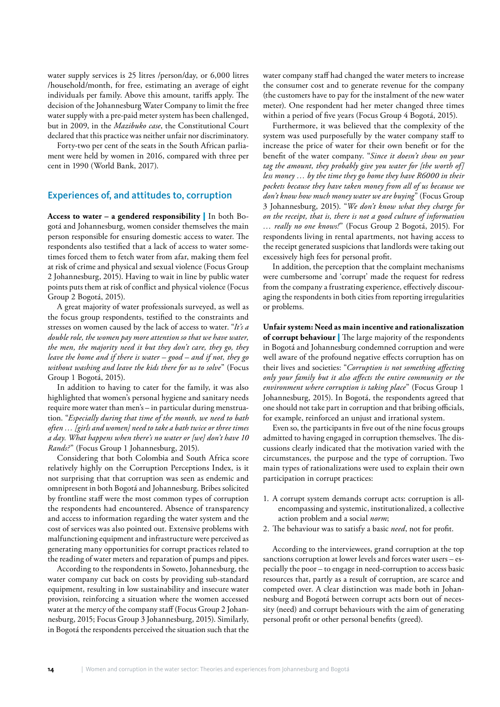water supply services is 25 litres /person/day, or 6,000 litres /household/month, for free, estimating an average of eight individuals per family. Above this amount, tariffs apply. The decision of the Johannesburg Water Company to limit the free water supply with a pre-paid meter system has been challenged, but in 2009, in the *Mazibuko case*, the Constitutional Court declared that this practice was neither unfair nor discriminatory.

Forty-two per cent of the seats in the South African parliament were held by women in 2016, compared with three per cent in 1990 (World Bank, 2017).

#### Experiences of, and attitudes to, corruption

**Access to water – a gendered responsibility** | In both Bogotá and Johannesburg, women consider themselves the main person responsible for ensuring domestic access to water. The respondents also testified that a lack of access to water sometimes forced them to fetch water from afar, making them feel at risk of crime and physical and sexual violence (Focus Group 2 Johannesburg, 2015). Having to wait in line by public water points puts them at risk of conflict and physical violence (Focus Group 2 Bogotá, 2015).

A great majority of water professionals surveyed, as well as the focus group respondents, testified to the constraints and stresses on women caused by the lack of access to water. "*It's a double role, the women pay more attention so that we have water, the men, the majority need it but they don't care, they go, they leave the home and if there is water – good – and if not, they go without washing and leave the kids there for us to solve*" (Focus Group 1 Bogotá, 2015).

In addition to having to cater for the family, it was also highlighted that women's personal hygiene and sanitary needs require more water than men's – in particular during menstruation. "*Especially during that time of the month, we need to bath often … [girls and women] need to take a bath twice or three times a day. What happens when there's no water or [we] don't have 10 Rands?*" (Focus Group 1 Johannesburg, 2015).

Considering that both Colombia and South Africa score relatively highly on the Corruption Perceptions Index, is it not surprising that that corruption was seen as endemic and omnipresent in both Bogotá and Johannesburg. Bribes solicited by frontline staff were the most common types of corruption the respondents had encountered. Absence of transparency and access to information regarding the water system and the cost of services was also pointed out. Extensive problems with malfunctioning equipment and infrastructure were perceived as generating many opportunities for corrupt practices related to the reading of water meters and reparation of pumps and pipes.

According to the respondents in Soweto, Johannesburg, the water company cut back on costs by providing sub-standard equipment, resulting in low sustainability and insecure water provision, reinforcing a situation where the women accessed water at the mercy of the company staff (Focus Group 2 Johannesburg, 2015; Focus Group 3 Johannesburg, 2015). Similarly, in Bogotá the respondents perceived the situation such that the water company staff had changed the water meters to increase the consumer cost and to generate revenue for the company (the customers have to pay for the instalment of the new water meter). One respondent had her meter changed three times within a period of five years (Focus Group 4 Bogotá, 2015).

Furthermore, it was believed that the complexity of the system was used purposefully by the water company staff to increase the price of water for their own benefit or for the benefit of the water company. "*Since it doesn't show on your tag the amount, they probably give you water for [the worth of] less money … by the time they go home they have R6000 in their pockets because they have taken money from all of us because we don't know how much money water we are buying*" (Focus Group 3 Johannesburg, 2015). "*We don't know what they charge for on the receipt, that is, there is not a good culture of information … really no one knows!*" (Focus Group 2 Bogotá, 2015). For respondents living in rental apartments, not having access to the receipt generated suspicions that landlords were taking out excessively high fees for personal profit.

In addition, the perception that the complaint mechanisms were cumbersome and 'corrupt' made the request for redress from the company a frustrating experience, effectively discouraging the respondents in both cities from reporting irregularities or problems.

**Unfair system: Need as main incentive and rationaliszation of corrupt behaviour** | The large majority of the respondents in Bogotá and Johannesburg condemned corruption and were well aware of the profound negative effects corruption has on their lives and societies: "*Corruption is not something affecting only your family but it also affects the entire community or the environment where corruption is taking place*" (Focus Group 1 Johannesburg, 2015). In Bogotá, the respondents agreed that one should not take part in corruption and that bribing officials, for example, reinforced an unjust and irrational system.

Even so, the participants in five out of the nine focus groups admitted to having engaged in corruption themselves. The discussions clearly indicated that the motivation varied with the circumstances, the purpose and the type of corruption. Two main types of rationalizations were used to explain their own participation in corrupt practices:

- 1. A corrupt system demands corrupt acts: corruption is allencompassing and systemic, institutionalized, a collective action problem and a social *norm*;
- 2. The behaviour was to satisfy a basic *need*, not for profit.

According to the interviewees, grand corruption at the top sanctions corruption at lower levels and forces water users – especially the poor – to engage in need-corruption to access basic resources that, partly as a result of corruption, are scarce and competed over. A clear distinction was made both in Johannesburg and Bogotá between corrupt acts born out of necessity (need) and corrupt behaviours with the aim of generating personal profit or other personal benefits (greed).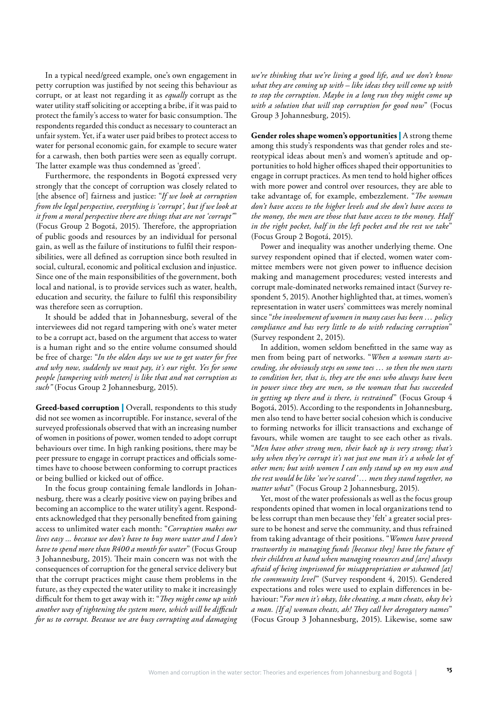In a typical need/greed example, one's own engagement in petty corruption was justified by not seeing this behaviour as corrupt, or at least not regarding it as *equally* corrupt as the water utility staff soliciting or accepting a bribe, if it was paid to protect the family's access to water for basic consumption. The respondents regarded this conduct as necessary to counteract an unfair system. Yet, if a water user paid bribes to protect access to water for personal economic gain, for example to secure water for a carwash, then both parties were seen as equally corrupt. The latter example was thus condemned as 'greed'.

Furthermore, the respondents in Bogotá expressed very strongly that the concept of corruption was closely related to [the absence of] fairness and justice: "*If we look at corruption from the legal perspective, everything is 'corrupt', but if we look at it from a moral perspective there are things that are not 'corrupt'*" (Focus Group 2 Bogotá, 2015). Therefore, the appropriation of public goods and resources by an individual for personal gain, as well as the failure of institutions to fulfil their responsibilities, were all defined as corruption since both resulted in social, cultural, economic and political exclusion and injustice. Since one of the main responsibilities of the government, both local and national, is to provide services such as water, health, education and security, the failure to fulfil this responsibility was therefore seen as corruption.

It should be added that in Johannesburg, several of the interviewees did not regard tampering with one's water meter to be a corrupt act, based on the argument that access to water is a human right and so the entire volume consumed should be free of charge: "*In the olden days we use to get water for free and why now, suddenly we must pay, it's our right. Yes for some people [tampering with meters] is like that and not corruption as such"* (Focus Group 2 Johannesburg, 2015).

**Greed-based corruption** | Overall, respondents to this study did not see women as incorruptible. For instance, several of the surveyed professionals observed that with an increasing number of women in positions of power, women tended to adopt corrupt behaviours over time. In high ranking positions, there may be peer pressure to engage in corrupt practices and officials sometimes have to choose between conforming to corrupt practices or being bullied or kicked out of office.

In the focus group containing female landlords in Johannesburg, there was a clearly positive view on paying bribes and becoming an accomplice to the water utility's agent. Respondents acknowledged that they personally benefited from gaining access to unlimited water each month: "*Corruption makes our lives easy ... because we don't have to buy more water and I don't have to spend more than R400 a month for water*" (Focus Group 3 Johannesburg, 2015). Their main concern was not with the consequences of corruption for the general service delivery but that the corrupt practices might cause them problems in the future, as they expected the water utility to make it increasingly difficult for them to get away with it: "*They might come up with another way of tightening the system more, which will be difficult for us to corrupt. Because we are busy corrupting and damaging*  *we're thinking that we're living a good life, and we don't know what they are coming up with – like ideas they will come up with to stop the corruption. Maybe in a long run they might come up with a solution that will stop corruption for good now*" (Focus Group 3 Johannesburg, 2015).

**Gender roles shape women's opportunities** | A strong theme among this study's respondents was that gender roles and stereotypical ideas about men's and women's aptitude and opportunities to hold higher offices shaped their opportunities to engage in corrupt practices. As men tend to hold higher offices with more power and control over resources, they are able to take advantage of, for example, embezzlement. "*The woman don't have access to the higher levels and she don't have access to the money, the men are those that have access to the money. Half in the right pocket, half in the left pocket and the rest we take*" (Focus Group 2 Bogotá, 2015).

Power and inequality was another underlying theme. One survey respondent opined that if elected, women water committee members were not given power to influence decision making and management procedures; vested interests and corrupt male-dominated networks remained intact (Survey respondent 5, 2015). Another highlighted that, at times, women's representation in water users' committees was merely nominal since "*the involvement of women in many cases has been … policy compliance and has very little to do with reducing corruption*" (Survey respondent 2, 2015).

In addition, women seldom benefitted in the same way as men from being part of networks. "*When a woman starts ascending, she obviously steps on some toes … so then the men starts to condition her, that is, they are the ones who always have been in power since they are men, so the woman that has succeeded in getting up there and is there, is restrained*" (Focus Group 4 Bogotá, 2015). According to the respondents in Johannesburg, men also tend to have better social cohesion which is conducive to forming networks for illicit transactions and exchange of favours, while women are taught to see each other as rivals. "*Men have other strong men, their back up is very strong; that's why when they're corrupt it's not just one man it's a whole lot of other men; but with women I can only stand up on my own and the rest would be like 'we're scared' … men they stand together, no matter what*" (Focus Group 2 Johannesburg, 2015).

Yet, most of the water professionals as well as the focus group respondents opined that women in local organizations tend to be less corrupt than men because they 'felt' a greater social pressure to be honest and serve the community, and thus refrained from taking advantage of their positions. "*Women have proved trustworthy in managing funds [because they] have the future of their children at hand when managing resources and [are] always afraid of being imprisoned for misappropriation or ashamed [at] the community level*" (Survey respondent 4, 2015). Gendered expectations and roles were used to explain differences in behaviour: "*For men it's okay, like cheating, a man cheats, okay he's a man. [If a] woman cheats, ah! They call her derogatory names*" (Focus Group 3 Johannesburg, 2015). Likewise, some saw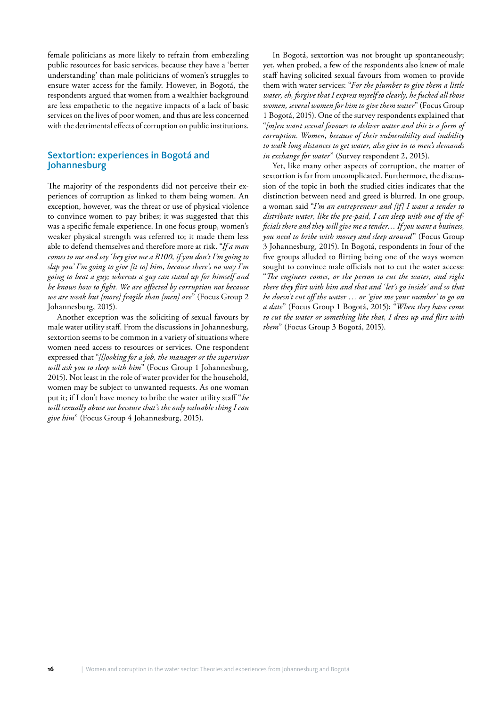female politicians as more likely to refrain from embezzling public resources for basic services, because they have a 'better understanding' than male politicians of women's struggles to ensure water access for the family. However, in Bogotá, the respondents argued that women from a wealthier background are less empathetic to the negative impacts of a lack of basic services on the lives of poor women, and thus are less concerned with the detrimental effects of corruption on public institutions.

### Sextortion: experiences in Bogotá and Johannesburg

The majority of the respondents did not perceive their experiences of corruption as linked to them being women. An exception, however, was the threat or use of physical violence to convince women to pay bribes; it was suggested that this was a specific female experience. In one focus group, women's weaker physical strength was referred to; it made them less able to defend themselves and therefore more at risk. "*If a man comes to me and say 'hey give me a R100, if you don't I'm going to slap you' I'm going to give [it to] him, because there's no way I'm going to beat a guy; whereas a guy can stand up for himself and he knows how to fight. We are affected by corruption not because we are weak but [more] fragile than [men] are*" (Focus Group 2 Johannesburg, 2015).

Another exception was the soliciting of sexual favours by male water utility staff. From the discussions in Johannesburg, sextortion seems to be common in a variety of situations where women need access to resources or services. One respondent expressed that "*[l]ooking for a job, the manager or the supervisor will ask you to sleep with him*" (Focus Group 1 Johannesburg, 2015). Not least in the role of water provider for the household, women may be subject to unwanted requests. As one woman put it; if I don't have money to bribe the water utility staff "*he will sexually abuse me because that's the only valuable thing I can give him*" (Focus Group 4 Johannesburg, 2015).

In Bogotá, sextortion was not brought up spontaneously; yet, when probed, a few of the respondents also knew of male staff having solicited sexual favours from women to provide them with water services: "*For the plumber to give them a little water, eh, forgive that I express myself so clearly, he fucked all those women, several women for him to give them water*" (Focus Group 1 Bogotá, 2015). One of the survey respondents explained that "*[m]en want sexual favours to deliver water and this is a form of corruption. Women, because of their vulnerability and inability to walk long distances to get water, also give in to men's demands in exchange for water*" (Survey respondent 2, 2015).

Yet, like many other aspects of corruption, the matter of sextortion is far from uncomplicated. Furthermore, the discussion of the topic in both the studied cities indicates that the distinction between need and greed is blurred. In one group, a woman said "*I'm an entrepreneur and [if] I want a tender to distribute water, like the pre-paid, I can sleep with one of the officials there and they will give me a tender… If you want a business, you need to bribe with money and sleep around*" (Focus Group 3 Johannesburg, 2015). In Bogotá, respondents in four of the five groups alluded to flirting being one of the ways women sought to convince male officials not to cut the water access: "*The engineer comes, or the person to cut the water, and right there they flirt with him and that and 'let's go inside' and so that he doesn't cut off the water … or 'give me your number' to go on a date*" (Focus Group 1 Bogotá, 2015); "*When they have come to cut the water or something like that, I dress up and flirt with them*" (Focus Group 3 Bogotá, 2015).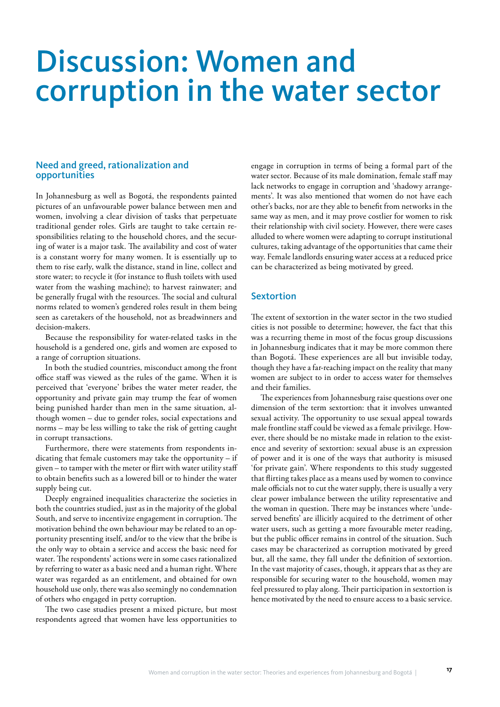### Discussion: Women and corruption in the water sector

### Need and greed, rationalization and opportunities

In Johannesburg as well as Bogotá, the respondents painted pictures of an unfavourable power balance between men and women, involving a clear division of tasks that perpetuate traditional gender roles. Girls are taught to take certain responsibilities relating to the household chores, and the securing of water is a major task. The availability and cost of water is a constant worry for many women. It is essentially up to them to rise early, walk the distance, stand in line, collect and store water; to recycle it (for instance to flush toilets with used water from the washing machine); to harvest rainwater; and be generally frugal with the resources. The social and cultural norms related to women's gendered roles result in them being seen as caretakers of the household, not as breadwinners and decision-makers.

Because the responsibility for water-related tasks in the household is a gendered one, girls and women are exposed to a range of corruption situations.

In both the studied countries, misconduct among the front office staff was viewed as the rules of the game. When it is perceived that 'everyone' bribes the water meter reader, the opportunity and private gain may trump the fear of women being punished harder than men in the same situation, although women – due to gender roles, social expectations and norms – may be less willing to take the risk of getting caught in corrupt transactions.

Furthermore, there were statements from respondents indicating that female customers may take the opportunity – if given – to tamper with the meter or flirt with water utility staff to obtain benefits such as a lowered bill or to hinder the water supply being cut.

Deeply engrained inequalities characterize the societies in both the countries studied, just as in the majority of the global South, and serve to incentivize engagement in corruption. The motivation behind the own behaviour may be related to an opportunity presenting itself, and/or to the view that the bribe is the only way to obtain a service and access the basic need for water. The respondents' actions were in some cases rationalized by referring to water as a basic need and a human right. Where water was regarded as an entitlement, and obtained for own household use only, there was also seemingly no condemnation of others who engaged in petty corruption.

The two case studies present a mixed picture, but most respondents agreed that women have less opportunities to engage in corruption in terms of being a formal part of the water sector. Because of its male domination, female staff may lack networks to engage in corruption and 'shadowy arrangements'. It was also mentioned that women do not have each other's backs, nor are they able to benefit from networks in the same way as men, and it may prove costlier for women to risk their relationship with civil society. However, there were cases alluded to where women were adapting to corrupt institutional cultures, taking advantage of the opportunities that came their way. Female landlords ensuring water access at a reduced price can be characterized as being motivated by greed.

### **Sextortion**

The extent of sextortion in the water sector in the two studied cities is not possible to determine; however, the fact that this was a recurring theme in most of the focus group discussions in Johannesburg indicates that it may be more common there than Bogotá. These experiences are all but invisible today, though they have a far-reaching impact on the reality that many women are subject to in order to access water for themselves and their families.

The experiences from Johannesburg raise questions over one dimension of the term sextortion: that it involves unwanted sexual activity. The opportunity to use sexual appeal towards male frontline staff could be viewed as a female privilege. However, there should be no mistake made in relation to the existence and severity of sextortion: sexual abuse is an expression of power and it is one of the ways that authority is misused 'for private gain'. Where respondents to this study suggested that flirting takes place as a means used by women to convince male officials not to cut the water supply, there is usually a very clear power imbalance between the utility representative and the woman in question. There may be instances where 'undeserved benefits' are illicitly acquired to the detriment of other water users, such as getting a more favourable meter reading, but the public officer remains in control of the situation. Such cases may be characterized as corruption motivated by greed but, all the same, they fall under the definition of sextortion. In the vast majority of cases, though, it appears that as they are responsible for securing water to the household, women may feel pressured to play along. Their participation in sextortion is hence motivated by the need to ensure access to a basic service.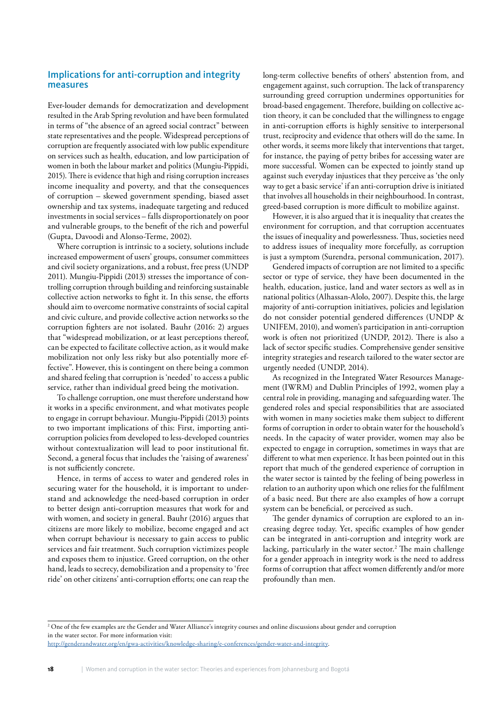### Implications for anti-corruption and integrity measures

Ever-louder demands for democratization and development resulted in the Arab Spring revolution and have been formulated in terms of "the absence of an agreed social contract" between state representatives and the people. Widespread perceptions of corruption are frequently associated with low public expenditure on services such as health, education, and low participation of women in both the labour market and politics (Mungiu-Pippidi, 2015). There is evidence that high and rising corruption increases income inequality and poverty, and that the consequences of corruption – skewed government spending, biased asset ownership and tax systems, inadequate targeting and reduced investments in social services – falls disproportionately on poor and vulnerable groups, to the benefit of the rich and powerful (Gupta, Davoodi and Alonso-Terme, 2002).

Where corruption is intrinsic to a society, solutions include increased empowerment of users' groups, consumer committees and civil society organizations, and a robust, free press (UNDP 2011). Mungiu-Pippidi (2013) stresses the importance of controlling corruption through building and reinforcing sustainable collective action networks to fight it. In this sense, the efforts should aim to overcome normative constraints of social capital and civic culture, and provide collective action networks so the corruption fighters are not isolated. Bauhr (2016: 2) argues that "widespread mobilization, or at least perceptions thereof, can be expected to facilitate collective action, as it would make mobilization not only less risky but also potentially more effective". However, this is contingent on there being a common and shared feeling that corruption is 'needed' to access a public service, rather than individual greed being the motivation.

To challenge corruption, one must therefore understand how it works in a specific environment, and what motivates people to engage in corrupt behaviour. Mungiu-Pippidi (2013) points to two important implications of this: First, importing anticorruption policies from developed to less-developed countries without contextualization will lead to poor institutional fit. Second, a general focus that includes the 'raising of awareness' is not sufficiently concrete.

Hence, in terms of access to water and gendered roles in securing water for the household, it is important to understand and acknowledge the need-based corruption in order to better design anti-corruption measures that work for and with women, and society in general. Bauhr (2016) argues that citizens are more likely to mobilize, become engaged and act when corrupt behaviour is necessary to gain access to public services and fair treatment. Such corruption victimizes people and exposes them to injustice. Greed corruption, on the other hand, leads to secrecy, demobilization and a propensity to 'free ride' on other citizens' anti-corruption efforts; one can reap the long-term collective benefits of others' abstention from, and engagement against, such corruption. The lack of transparency surrounding greed corruption undermines opportunities for broad-based engagement. Therefore, building on collective action theory, it can be concluded that the willingness to engage in anti-corruption efforts is highly sensitive to interpersonal trust, reciprocity and evidence that others will do the same. In other words, it seems more likely that interventions that target, for instance, the paying of petty bribes for accessing water are more successful. Women can be expected to jointly stand up against such everyday injustices that they perceive as 'the only way to get a basic service' if an anti-corruption drive is initiated that involves all households in their neighbourhood. In contrast, greed-based corruption is more difficult to mobilize against.

However, it is also argued that it is inequality that creates the environment for corruption, and that corruption accentuates the issues of inequality and powerlessness. Thus, societies need to address issues of inequality more forcefully, as corruption is just a symptom (Surendra, personal communication, 2017).

Gendered impacts of corruption are not limited to a specific sector or type of service, they have been documented in the health, education, justice, land and water sectors as well as in national politics (Alhassan-Alolo, 2007). Despite this, the large majority of anti-corruption initiatives, policies and legislation do not consider potential gendered differences (UNDP & UNIFEM, 2010), and women's participation in anti-corruption work is often not prioritized (UNDP, 2012). There is also a lack of sector specific studies. Comprehensive gender sensitive integrity strategies and research tailored to the water sector are urgently needed (UNDP, 2014).

As recognized in the Integrated Water Resources Management (IWRM) and Dublin Principles of 1992, women play a central role in providing, managing and safeguarding water. The gendered roles and special responsibilities that are associated with women in many societies make them subject to different forms of corruption in order to obtain water for the household's needs. In the capacity of water provider, women may also be expected to engage in corruption, sometimes in ways that are different to what men experience. It has been pointed out in this report that much of the gendered experience of corruption in the water sector is tainted by the feeling of being powerless in relation to an authority upon which one relies for the fulfilment of a basic need. But there are also examples of how a corrupt system can be beneficial, or perceived as such.

The gender dynamics of corruption are explored to an increasing degree today. Yet, specific examples of how gender can be integrated in anti-corruption and integrity work are lacking, particularly in the water sector.<sup>2</sup> The main challenge for a gender approach in integrity work is the need to address forms of corruption that affect women differently and/or more profoundly than men.

<sup>2</sup> One of the few examples are the Gender and Water Alliance's integrity courses and online discussions about gender and corruption in the water sector. For more information visit:

<http://genderandwater.org/en/gwa-activities/knowledge-sharing/e-conferences/gender-water-and-integrity>.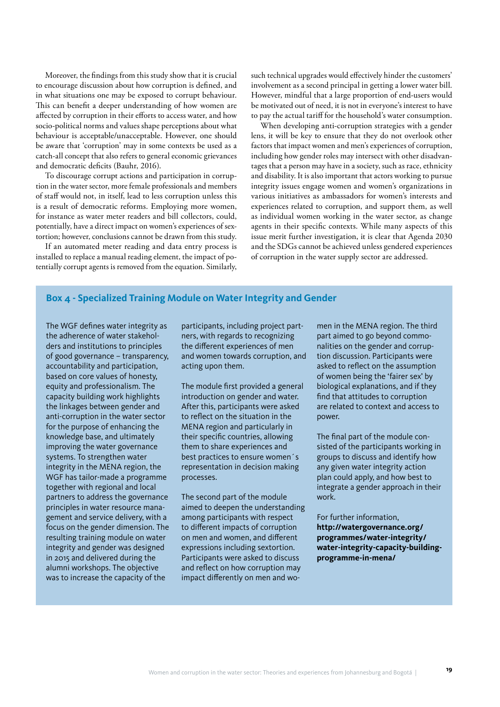Moreover, the findings from this study show that it is crucial to encourage discussion about how corruption is defined, and in what situations one may be exposed to corrupt behaviour. This can benefit a deeper understanding of how women are affected by corruption in their efforts to access water, and how socio-political norms and values shape perceptions about what behaviour is acceptable/unacceptable. However, one should be aware that 'corruption' may in some contexts be used as a catch-all concept that also refers to general economic grievances and democratic deficits (Bauhr, 2016).

To discourage corrupt actions and participation in corruption in the water sector, more female professionals and members of staff would not, in itself, lead to less corruption unless this is a result of democratic reforms. Employing more women, for instance as water meter readers and bill collectors, could, potentially, have a direct impact on women's experiences of sextortion; however, conclusions cannot be drawn from this study.

If an automated meter reading and data entry process is installed to replace a manual reading element, the impact of potentially corrupt agents is removed from the equation. Similarly,

such technical upgrades would effectively hinder the customers' involvement as a second principal in getting a lower water bill. However, mindful that a large proportion of end-users would be motivated out of need, it is not in everyone's interest to have to pay the actual tariff for the household's water consumption.

When developing anti-corruption strategies with a gender lens, it will be key to ensure that they do not overlook other factors that impact women and men's experiences of corruption, including how gender roles may intersect with other disadvantages that a person may have in a society, such as race, ethnicity and disability. It is also important that actors working to pursue integrity issues engage women and women's organizations in various initiatives as ambassadors for women's interests and experiences related to corruption, and support them, as well as individual women working in the water sector, as change agents in their specific contexts. While many aspects of this issue merit further investigation, it is clear that Agenda 2030 and the SDGs cannot be achieved unless gendered experiences of corruption in the water supply sector are addressed.

### **Box 4 - Specialized Training Module on Water Integrity and Gender**

The WGF defines water integrity as the adherence of water stakeholders and institutions to principles of good governance – transparency, accountability and participation, based on core values of honesty, equity and professionalism. The capacity building work highlights the linkages between gender and anti-corruption in the water sector for the purpose of enhancing the knowledge base, and ultimately improving the water governance systems. To strengthen water integrity in the MENA region, the WGF has tailor-made a programme together with regional and local partners to address the governance principles in water resource management and service delivery, with a focus on the gender dimension. The resulting training module on water integrity and gender was designed in 2015 and delivered during the alumni workshops. The objective was to increase the capacity of the

participants, including project partners, with regards to recognizing the different experiences of men and women towards corruption, and acting upon them.

The module first provided a general introduction on gender and water. After this, participants were asked to reflect on the situation in the MENA region and particularly in their specific countries, allowing them to share experiences and best practices to ensure women´s representation in decision making processes.

The second part of the module aimed to deepen the understanding among participants with respect to different impacts of corruption on men and women, and different expressions including sextortion. Participants were asked to discuss and reflect on how corruption may impact differently on men and women in the MENA region. The third part aimed to go beyond commonalities on the gender and corruption discussion. Participants were asked to reflect on the assumption of women being the 'fairer sex' by biological explanations, and if they find that attitudes to corruption are related to context and access to power.

The final part of the module consisted of the participants working in groups to discuss and identify how any given water integrity action plan could apply, and how best to integrate a gender approach in their work.

For further information, **[http://watergovernance.org/](http://watergovernance.org/programmes/water-integrity/water-integrity-capacity-building-programme-in-mena/) [programmes/water-integrity/](http://watergovernance.org/programmes/water-integrity/water-integrity-capacity-building-programme-in-mena/) [water-integrity-capacity-building](http://watergovernance.org/programmes/water-integrity/water-integrity-capacity-building-programme-in-mena/)[programme-in-mena/](http://watergovernance.org/programmes/water-integrity/water-integrity-capacity-building-programme-in-mena/)**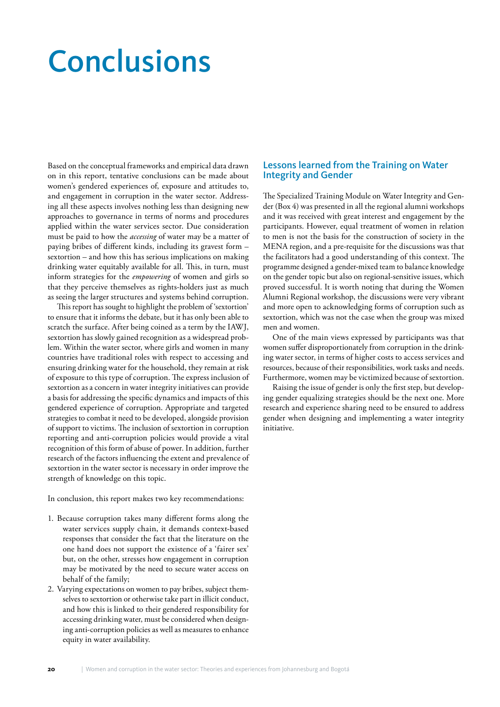## Conclusions

Based on the conceptual frameworks and empirical data drawn on in this report, tentative conclusions can be made about women's gendered experiences of, exposure and attitudes to, and engagement in corruption in the water sector. Addressing all these aspects involves nothing less than designing new approaches to governance in terms of norms and procedures applied within the water services sector. Due consideration must be paid to how the *accessing* of water may be a matter of paying bribes of different kinds, including its gravest form – sextortion – and how this has serious implications on making drinking water equitably available for all. This, in turn, must inform strategies for the *empowering* of women and girls so that they perceive themselves as rights-holders just as much as seeing the larger structures and systems behind corruption.

This report has sought to highlight the problem of 'sextortion' to ensure that it informs the debate, but it has only been able to scratch the surface. After being coined as a term by the IAWJ, sextortion has slowly gained recognition as a widespread problem. Within the water sector, where girls and women in many countries have traditional roles with respect to accessing and ensuring drinking water for the household, they remain at risk of exposure to this type of corruption. The express inclusion of sextortion as a concern in water integrity initiatives can provide a basis for addressing the specific dynamics and impacts of this gendered experience of corruption. Appropriate and targeted strategies to combat it need to be developed, alongside provision of support to victims. The inclusion of sextortion in corruption reporting and anti-corruption policies would provide a vital recognition of this form of abuse of power. In addition, further research of the factors influencing the extent and prevalence of sextortion in the water sector is necessary in order improve the strength of knowledge on this topic.

In conclusion, this report makes two key recommendations:

- 1. Because corruption takes many different forms along the water services supply chain, it demands context-based responses that consider the fact that the literature on the one hand does not support the existence of a 'fairer sex' but, on the other, stresses how engagement in corruption may be motivated by the need to secure water access on behalf of the family;
- 2. Varying expectations on women to pay bribes, subject themselves to sextortion or otherwise take part in illicit conduct, and how this is linked to their gendered responsibility for accessing drinking water, must be considered when designing anti-corruption policies as well as measures to enhance equity in water availability.

### Lessons learned from the Training on Water Integrity and Gender

The Specialized Training Module on Water Integrity and Gender (Box 4) was presented in all the regional alumni workshops and it was received with great interest and engagement by the participants. However, equal treatment of women in relation to men is not the basis for the construction of society in the MENA region, and a pre-requisite for the discussions was that the facilitators had a good understanding of this context. The programme designed a gender-mixed team to balance knowledge on the gender topic but also on regional-sensitive issues, which proved successful. It is worth noting that during the Women Alumni Regional workshop, the discussions were very vibrant and more open to acknowledging forms of corruption such as sextortion, which was not the case when the group was mixed men and women.

One of the main views expressed by participants was that women suffer disproportionately from corruption in the drinking water sector, in terms of higher costs to access services and resources, because of their responsibilities, work tasks and needs. Furthermore, women may be victimized because of sextortion.

Raising the issue of gender is only the first step, but developing gender equalizing strategies should be the next one. More research and experience sharing need to be ensured to address gender when designing and implementing a water integrity initiative.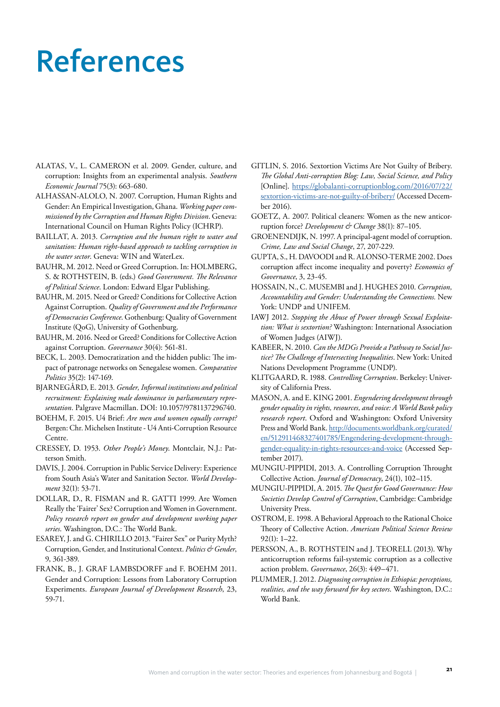### References

- ALATAS, V., L. CAMERON et al. 2009. Gender, culture, and corruption: Insights from an experimental analysis. *Southern Economic Journal* 75(3): 663-680.
- ALHASSAN-ALOLO, N. 2007. Corruption, Human Rights and Gender: An Empirical Investigation, Ghana. *Working paper commissioned by the Corruption and Human Rights Division*. Geneva: International Council on Human Rights Policy (ICHRP).
- BAILLAT, A. 2013. *Corruption and the human right to water and sanitation: Human right-based approach to tackling corruption in the water sector*. Geneva: WIN and WaterLex.
- BAUHR, M. 2012. Need or Greed Corruption. In: HOLMBERG, S. & ROTHSTEIN, B. (eds.) *Good Government. The Relevance of Political Science*. London: Edward Elgar Publishing.
- BAUHR, M. 2015. Need or Greed? Conditions for Collective Action Against Corruption. *Quality of Government and the Performance of Democracies Conference*. Gothenburg: Quality of Government Institute (QoG), University of Gothenburg.
- BAUHR, M. 2016. Need or Greed? Conditions for Collective Action against Corruption. *Governance* 30(4): 561-81.
- BECK, L. 2003. Democratization and the hidden public: The impact of patronage networks on Senegalese women. *Comparative Politics* 35(2): 147-169.
- BJARNEGÅRD, E. 2013. *Gender, Informal institutions and political recruitment: Explaining male dominance in parliamentary representation*. Palgrave Macmillan. DOI: 10.1057/9781137296740.
- BOEHM, F. 2015. U4 Brief: *Are men and women equally corrupt?* Bergen: Chr. Michelsen Institute - U4 Anti-Corruption Resource Centre.
- CRESSEY, D. 1953. *Other People's Money*. Montclair, N.J.: Patterson Smith.
- DAVIS, J. 2004. Corruption in Public Service Delivery: Experience from South Asia's Water and Sanitation Sector. *World Development* 32(1): 53-71.
- DOLLAR, D., R. FISMAN and R. GATTI 1999. Are Women Really the 'Fairer' Sex? Corruption and Women in Government. *Policy research report on gender and development working paper series*. Washington, D.C.: The World Bank.
- ESAREY, J. and G. CHIRILLO 2013. "Fairer Sex" or Purity Myth? Corruption, Gender, and Institutional Context. *Politics & Gender*, 9, 361-389.
- FRANK, B., J. GRAF LAMBSDORFF and F. BOEHM 2011. Gender and Corruption: Lessons from Laboratory Corruption Experiments. *European Journal of Development Research*, 23, 59-71.
- GITLIN, S. 2016. Sextortion Victims Are Not Guilty of Bribery. *The Global Anti-corruption Blog: Law, Social Science, and Policy* [Online]. [https://globalanti-corruptionblog.com/2016/07/22/](https://globalanti-corruptionblog.com/2016/07/22/sextortion-victims-are-not-guilty-of-bribery/) [sextortion-victims-are-not-guilty-of-bribery/](https://globalanti-corruptionblog.com/2016/07/22/sextortion-victims-are-not-guilty-of-bribery/) (Accessed December 2016).
- GOETZ, A. 2007. Political cleaners: Women as the new anticorruption force? *Development & Change* 38(1): 87–105.
- GROENENDIJK, N. 1997. A principal-agent model of corruption. *Crime, Law and Social Change*, 27, 207-229.
- GUPTA, S., H. DAVOODI and R. ALONSO-TERME 2002. Does corruption affect income inequality and poverty? *Economics of Governance*, 3, 23-45.
- HOSSAIN, N., C. MUSEMBI and J. HUGHES 2010. *Corruption, Accountability and Gender: Understanding the Connections.* New York: UNDP and UNIFEM.
- IAWJ 2012. *Stopping the Abuse of Power through Sexual Exploitation: What is sextortion?* Washington: International Association of Women Judges (AIWJ).
- KABEER, N. 2010. *Can the MDGs Provide a Pathway to Social Justice? The Challenge of Intersecting Inequalities*. New York: United Nations Development Programme (UNDP).
- KLITGAARD, R. 1988. *Controlling Corruption*. Berkeley: University of California Press.
- MASON, A. and E. KING 2001. *Engendering development through gender equality in rights, resources, and voice: A World Bank policy research report*. Oxford and Washington: Oxford University Press and World Bank. [http://documents.worldbank.org/curated/](http://documents.worldbank.org/curated/en/512911468327401785/Engendering-development-through-gender-equality-in-rights-resources-and-voice) [en/512911468327401785/Engendering-development-through](http://documents.worldbank.org/curated/en/512911468327401785/Engendering-development-through-gender-equality-in-rights-resources-and-voice)[gender-equality-in-rights-resources-and-voice](http://documents.worldbank.org/curated/en/512911468327401785/Engendering-development-through-gender-equality-in-rights-resources-and-voice) (Accessed September 2017).
- MUNGIU-PIPPIDI, 2013. A. Controlling Corruption Throught Collective Action. *Journal of Democracy*, 24(1), 102–115.
- MUNGIU-PIPPIDI, A. 2015. *The Quest for Good Governance: How Societies Develop Control of Corruption*, Cambridge: Cambridge University Press.
- OSTROM, E. 1998. A Behavioral Approach to the Rational Choice Theory of Collective Action. *American Political Science Review*  92(1): 1–22.
- PERSSON, A., B. ROTHSTEIN and J. TEORELL (2013). Why anticorruption reforms fail-systemic corruption as a collective action problem. *Governance*, 26(3): 449–471.
- PLUMMER, J. 2012. *Diagnosing corruption in Ethiopia: perceptions, realities, and the way forward for key sectors*. Washington, D.C.: World Bank.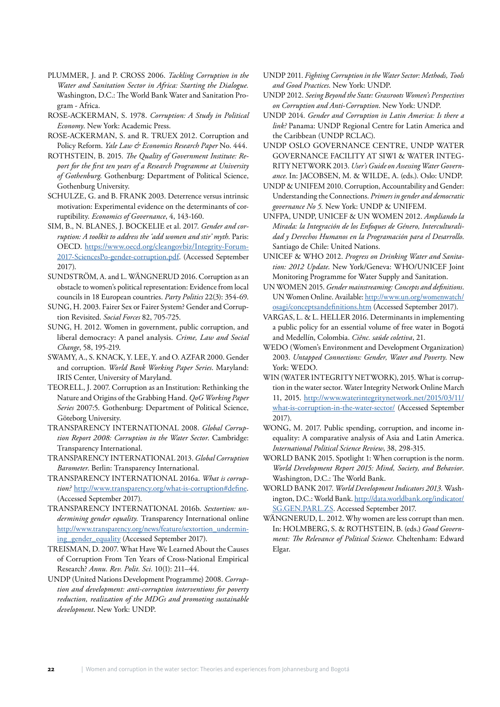- PLUMMER, J. and P. CROSS 2006. *Tackling Corruption in the Water and Sanitation Sector in Africa: Starting the Dialogue.*  Washington, D.C.: The World Bank Water and Sanitation Program - Africa.
- ROSE-ACKERMAN, S. 1978. *Corruption: A Study in Political Economy*. New York: Academic Press.
- ROSE-ACKERMAN, S. and R. TRUEX 2012. Corruption and Policy Reform. *Yale Law & Economics Research Paper* No. 444.
- ROTHSTEIN, B. 2015. *The Quality of Government Institute: Report for the first ten years of a Research Programme at University of Gothenburg*. Gothenburg: Department of Political Science, Gothenburg University.
- SCHULZE, G. and B. FRANK 2003. Deterrence versus intrinsic motivation: Experimental evidence on the determinants of corruptibility. *Economics of Governance*, 4, 143-160.
- SIM, B., N. BLANES, J. BOCKELIE et al. 2017. *Gender and corruption: A toolkit to address the 'add women and stir' myth*. Paris: OECD. [https://www.oecd.org/cleangovbiz/Integrity-Forum-](https://www.oecd.org/cleangovbiz/Integrity-Forum-2017-SciencesPo-gender-corruption.pdf)[2017-SciencesPo-gender-corruption.pdf](https://www.oecd.org/cleangovbiz/Integrity-Forum-2017-SciencesPo-gender-corruption.pdf). (Accessed September 2017).
- SUNDSTRÖM, A. and L. WÄNGNERUD 2016. Corruption as an obstacle to women's political representation: Evidence from local councils in 18 European countries. *Party Politics* 22(3): 354-69.
- SUNG, H. 2003. Fairer Sex or Fairer System? Gender and Corruption Revisited. *Social Forces* 82, 705-725.
- SUNG, H. 2012. Women in government, public corruption, and liberal democracy: A panel analysis. *Crime, Law and Social Change*, 58, 195-219.
- SWAMY, A., S. KNACK, Y. LEE, Y. and O. AZFAR 2000. Gender and corruption. *World Bank Working Paper Series*. Maryland: IRIS Center, University of Maryland.
- TEORELL, J. 2007. Corruption as an Institution: Rethinking the Nature and Origins of the Grabbing Hand. *QoG Working Paper Series* 2007:5. Gothenburg: Department of Political Science, Göteborg University.
- TRANSPARENCY INTERNATIONAL 2008. *Global Corruption Report 2008: Corruption in the Water Sector*. Cambridge: Transparency International.
- TRANSPARENCY INTERNATIONAL 2013. *Global Corruption Barometer*. Berlin: Transparency International.
- TRANSPARENCY INTERNATIONAL 2016a. *What is corruption?* [http://www.transparency.org/what-is-corruption#define.](http://www.transparency.org/what-is-corruption#define) (Accessed September 2017).
- TRANSPARENCY INTERNATIONAL 2016b. *Sextortion: undermining gender equality.* Transparency International online [http://www.transparency.org/news/feature/sextortion\\_undermin](http://www.transparency.org/news/feature/sextortion_undermining_gender_equality)[ing\\_gender\\_equality](http://www.transparency.org/news/feature/sextortion_undermining_gender_equality) (Accessed September 2017).
- TREISMAN, D. 2007. What Have We Learned About the Causes of Corruption From Ten Years of Cross-National Empirical Research? *Annu. Rev. Polit. Sci.* 10(1): 211–44.
- UNDP (United Nations Development Programme) 2008. *Corruption and development: anti-corruption interventions for poverty reduction, realization of the MDGs and promoting sustainable development*. New York: UNDP.
- UNDP 2011. *Fighting Corruption in the Water Sector: Methods, Tools and Good Practices*. New York: UNDP.
- UNDP 2012. *Seeing Beyond the State: Grassroots Women's Perspectives on Corruption and Anti-Corruption*. New York: UNDP.
- UNDP 2014. *Gender and Corruption in Latin America: Is there a link?* Panama: UNDP Regional Centre for Latin America and the Caribbean (UNDP RCLAC).
- UNDP OSLO GOVERNANCE CENTRE, UNDP WATER GOVERNANCE FACILITY AT SIWI & WATER INTEG-RITY NETWORK 2013. *User's Guide on Assessing Water Governance*. In: JACOBSEN, M. & WILDE, A. (eds.). Oslo: UNDP.
- UNDP & UNIFEM 2010. Corruption, Accountability and Gender: Understanding the Connections. *Primers in gender and democratic governance No 5.* New York: UNDP & UNIFEM.
- UNFPA, UNDP, UNICEF & UN WOMEN 2012. *Ampliando la Mirada: la Integración de los Enfoques de Género, Interculturalidad y Derechos Humanos en la Programación para el Desarrollo*. Santiago de Chile: United Nations.
- UNICEF & WHO 2012. *Progress on Drinking Water and Sanitation: 2012 Update*. New York/Geneva: WHO/UNICEF Joint Monitoring Programme for Water Supply and Sanitation.
- UN WOMEN 2015. *Gender mainstreaming: Concepts and definitions*. UN Women Online. Available: [http://www.un.org/womenwatch/](http://www.un.org/womenwatch/osagi/conceptsandefinitions.htm) [osagi/conceptsandefinitions.htm](http://www.un.org/womenwatch/osagi/conceptsandefinitions.htm) (Accessed September 2017).
- VARGAS, L. & L. HELLER 2016. Determinants in implementing a public policy for an essential volume of free water in Bogotá and Medellín, Colombia. *Ciênc. saúde coletiva*, 21.
- WEDO (Women's Environment and Development Organization) 2003. *Untapped Connections: Gender, Water and Poverty*. New York: WEDO.
- WIN (WATER INTEGRITY NETWORK), 2015. What is corruption in the water sector. Water Integrity Network Online March 11, 2015. [http://www.waterintegritynetwork.net/2015/03/11/](http://www.waterintegritynetwork.net/2015/03/11/what-is-corruption-in-the-water-sector/) [what-is-corruption-in-the-water-sector/](http://www.waterintegritynetwork.net/2015/03/11/what-is-corruption-in-the-water-sector/) (Accessed September 2017).
- WONG, M. 2017. Public spending, corruption, and income inequality: A comparative analysis of Asia and Latin America. *International Political Science Review*, 38, 298-315.
- WORLD BANK 2015. Spotlight 1: When corruption is the norm. *World Development Report 2015: Mind, Society, and Behavior*. Washington, D.C.: The World Bank.
- WORLD BANK 2017. *World Development Indicators 2013.* Washington, D.C.: World Bank. [http://data.worldbank.org/indicator/](http://data.worldbank.org/indicator/SG.GEN.PARL.ZS) [SG.GEN.PARL.ZS.](http://data.worldbank.org/indicator/SG.GEN.PARL.ZS) Accessed September 2017.
- WÄNGNERUD, L. 2012. Why women are less corrupt than men. In: HOLMBERG, S. & ROTHSTEIN, B. (eds.) *Good Government: The Relevance of Political Science.* Cheltenham: Edward Elgar.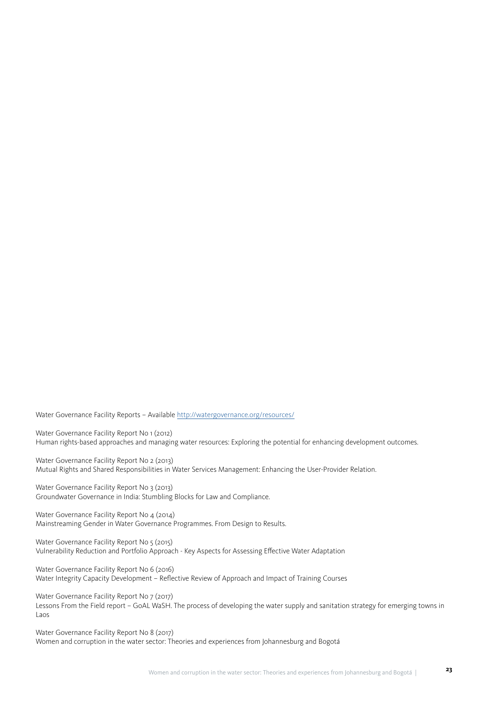Water Governance Facility Reports – Available <http://watergovernance.org/resources/>

Water Governance Facility Report No 1 (2012) Human rights-based approaches and managing water resources: Exploring the potential for enhancing development outcomes.

Water Governance Facility Report No 2 (2013) Mutual Rights and Shared Responsibilities in Water Services Management: Enhancing the User-Provider Relation.

Water Governance Facility Report No 3 (2013) Groundwater Governance in India: Stumbling Blocks for Law and Compliance.

Water Governance Facility Report No 4 (2014) Mainstreaming Gender in Water Governance Programmes. From Design to Results.

Water Governance Facility Report No 5 (2015) Vulnerability Reduction and Portfolio Approach - Key Aspects for Assessing Effective Water Adaptation

Water Governance Facility Report No 6 (2016) Water Integrity Capacity Development – Reflective Review of Approach and Impact of Training Courses

Water Governance Facility Report No 7 (2017) Lessons From the Field report – GoAL WaSH. The process of developing the water supply and sanitation strategy for emerging towns in Laos

Water Governance Facility Report No 8 (2017) Women and corruption in the water sector: Theories and experiences from Johannesburg and Bogotá